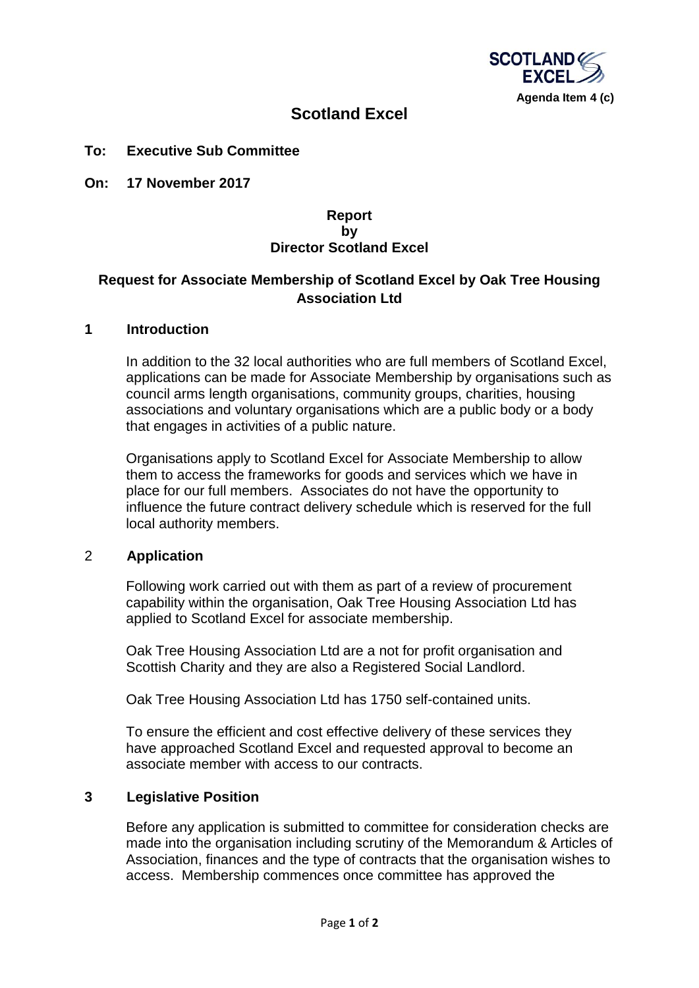

# **Scotland Excel**

#### **To: Executive Sub Committee**

**On: 17 November 2017**

### **Report by Director Scotland Excel**

## **Request for Associate Membership of Scotland Excel by Oak Tree Housing Association Ltd**

### **1 Introduction**

In addition to the 32 local authorities who are full members of Scotland Excel, applications can be made for Associate Membership by organisations such as council arms length organisations, community groups, charities, housing associations and voluntary organisations which are a public body or a body that engages in activities of a public nature.

Organisations apply to Scotland Excel for Associate Membership to allow them to access the frameworks for goods and services which we have in place for our full members. Associates do not have the opportunity to influence the future contract delivery schedule which is reserved for the full local authority members.

#### 2 **Application**

Following work carried out with them as part of a review of procurement capability within the organisation, Oak Tree Housing Association Ltd has applied to Scotland Excel for associate membership.

Oak Tree Housing Association Ltd are a not for profit organisation and Scottish Charity and they are also a Registered Social Landlord.

Oak Tree Housing Association Ltd has 1750 self-contained units.

To ensure the efficient and cost effective delivery of these services they have approached Scotland Excel and requested approval to become an associate member with access to our contracts.

### **3 Legislative Position**

Before any application is submitted to committee for consideration checks are made into the organisation including scrutiny of the Memorandum & Articles of Association, finances and the type of contracts that the organisation wishes to access. Membership commences once committee has approved the